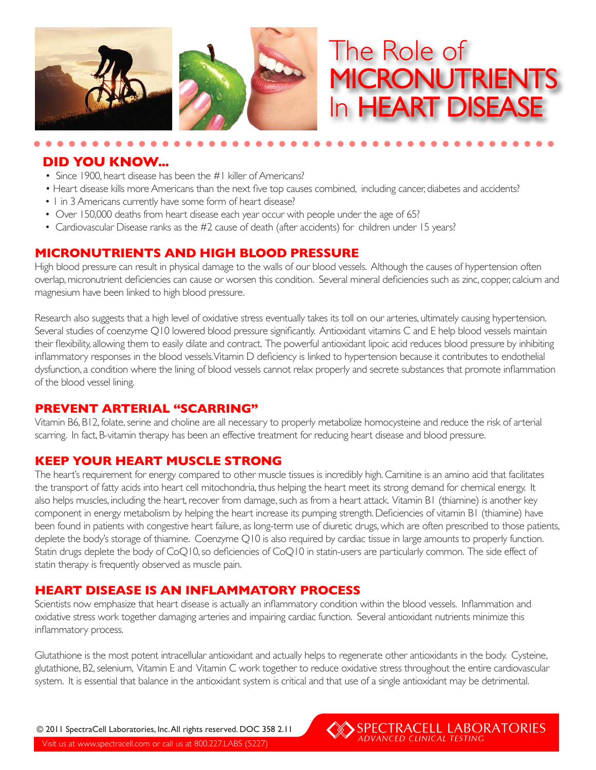

# **DID YOU KNOW...**

- Since 1900, heart disease has been the #1 killer of Americans?
- Heart disease kills more Americans than the next five top causes combined, including cancer, diabetes and accidents?
- 1 in 3 Americans currently have some form of heart disease?
- Over 150,000 deaths from heart disease each year occur with people under the age of 65?
- Cardiovascular Disease ranks as the #2 cause of death (after accidents) for children under 15 years?

# **MICRONUTRIENTS AND HIGH BLOOD PRESSURE**

High blood pressure can result in physical damage to the walls of our blood vessels. Although the causes of hypertension often overlap, micronutrient deficiencies can cause or worsen this condition. Several mineral deficiencies such as zinc, copper, calcium and magnesium have been linked to high blood pressure.

Research also suggests that a high level of oxidative stress eventually takes its toll on our arteries, ultimately causing hypertension. Several studies of coenzyme Q10 lowered blood pressure significantly. Antioxidant vitamins C and E help blood vessels maintain their flexibility, allowing them to easily dilate and contract. The powerful antioxidant lipoic acid reduces blood pressure by inhibiting inflammatory responses in the blood vessels. Vitamin D deficiency is linked to hypertension because it contributes to endothelial dysfunction, a condition where the lining of blood vessels cannot relax properly and secrete substances that promote inflammation of the blood vessel lining.

# **PREVENT ARTERIAL "SCARRING"**

Vitamin B6, B12, folate, serine and choline are all necessary to properly metabolize homocysteine and reduce the risk of arterial scarring. In fact, B-vitamin therapy has been an effective treatment for reducing heart disease and blood pressure.

# **KEEP YOUR HEART MUSCLE STRONG**

The heart's requirement for energy compared to other muscle tissues is incredibly high. Carnitine is an amino acid that facilitates the transport of fatty acids into heart cell mitochondria, thus helping the heart meet its strong demand for chemical energy. It also helps muscles, including the heart, recover from damage, such as from a heart attack. Vitamin B1 (thiamine) is another key component in energy metabolism by helping the heart increase its pumping strength. Deficiencies of vitamin B1 (thiamine) have been found in patients with congestive heart failure, as long-term use of diuretic drugs, which are often prescribed to those patients, deplete the body's storage of thiamine. Coenzyme Q10 is also required by cardiac tissue in large amounts to properly function. Statin drugs deplete the body of CoQ10, so deficiencies of CoQ10 in statin-users are particularly common. The side effect of statin therapy is frequently observed as muscle pain.

# **HEART DISEASE IS AN INFLAMMATORY PROCESS**

Scientists now emphasize that heart disease is actually an inflammatory condition within the blood vessels. Inflammation and oxidative stress work together damaging arteries and impairing cardiac function. Several antioxidant nutrients minimize this inflammatory process.

Glutathione is the most potent intracellular antioxidant and actually helps to regenerate other antioxidants in the body. Cysteine, glutathione, B2, selenium, Vitamin E and Vitamin C work together to reduce oxidative stress throughout the entire cardiovascular system. It is essential that balance in the antioxidant system is critical and that use of a single antioxidant may be detrimental.

**SPECTRACELL LABORATORIES** 

Visit us at www.spectracell.com or call us at 800.227.LABS (5227) © 2011 SpectraCell Laboratories, Inc. All rights reserved. DOC 358 2.11